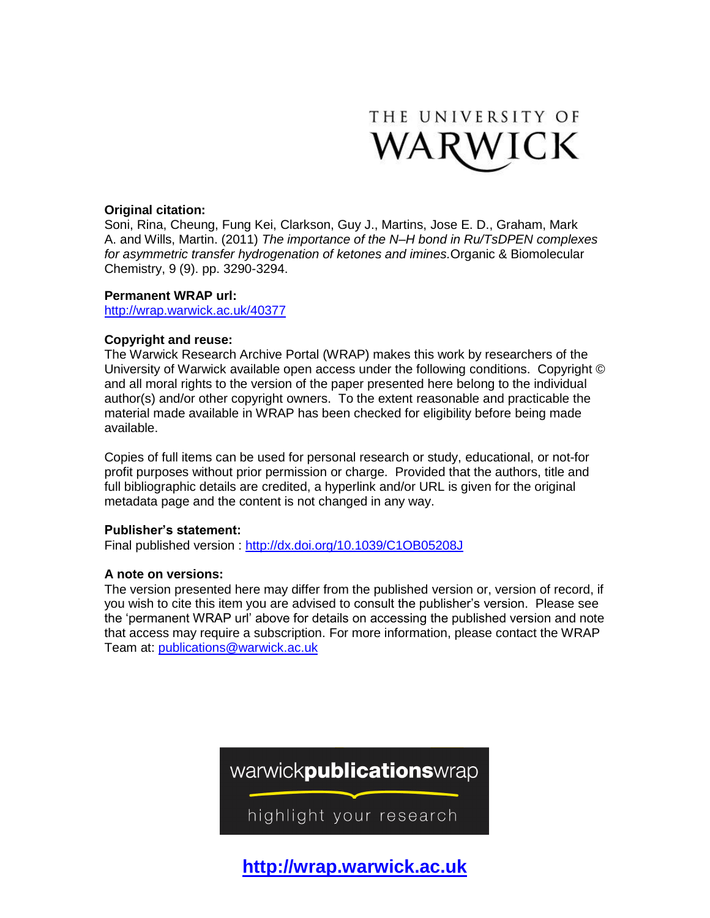

# **Original citation:**

Soni, Rina, Cheung, Fung Kei, Clarkson, Guy J., Martins, Jose E. D., Graham, Mark A. and Wills, Martin. (2011) *The importance of the N–H bond in Ru/TsDPEN complexes for asymmetric transfer hydrogenation of ketones and imines.*Organic & Biomolecular Chemistry, 9 (9). pp. 3290-3294.

## **Permanent WRAP url:**

<http://wrap.warwick.ac.uk/40377>

# **Copyright and reuse:**

The Warwick Research Archive Portal (WRAP) makes this work by researchers of the University of Warwick available open access under the following conditions. Copyright © and all moral rights to the version of the paper presented here belong to the individual author(s) and/or other copyright owners. To the extent reasonable and practicable the material made available in WRAP has been checked for eligibility before being made available.

Copies of full items can be used for personal research or study, educational, or not-for profit purposes without prior permission or charge. Provided that the authors, title and full bibliographic details are credited, a hyperlink and/or URL is given for the original metadata page and the content is not changed in any way.

# **Publisher's statement:**

Final published version :<http://dx.doi.org/10.1039/C1OB05208J>

# **A note on versions:**

The version presented here may differ from the published version or, version of record, if you wish to cite this item you are advised to consult the publisher's version. Please see the 'permanent WRAP url' above for details on accessing the published version and note that access may require a subscription. For more information, please contact the WRAP Team at: [publications@warwick.ac.uk](mailto:publications@warwick.ac.uk)



highlight your research

**[http://wrap.warwick.ac.uk](http://wrap.warwick.ac.uk/)**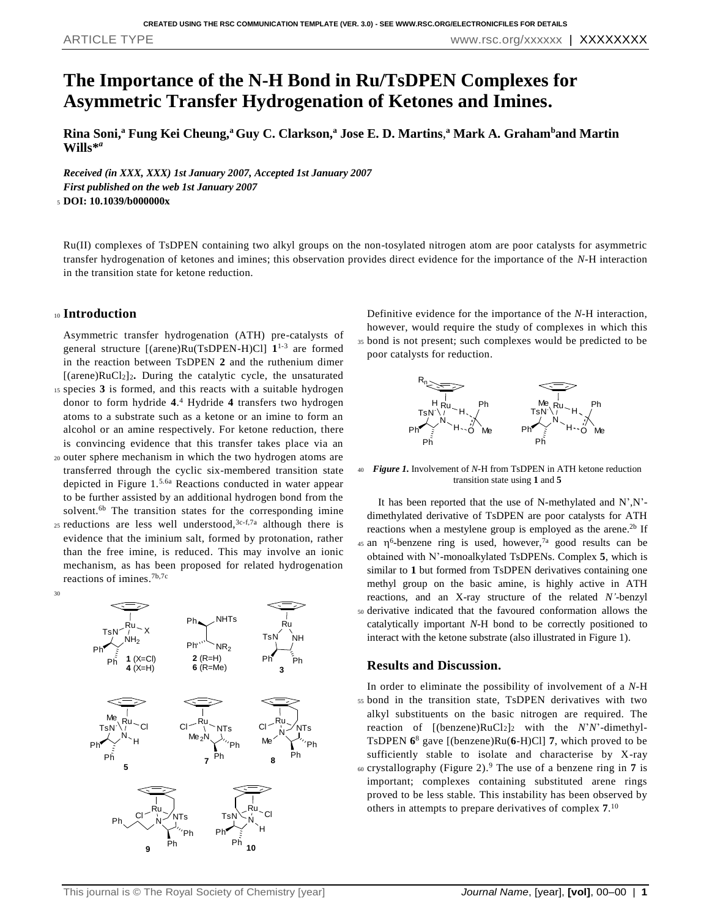# **The Importance of the N-H Bond in Ru/TsDPEN Complexes for Asymmetric Transfer Hydrogenation of Ketones and Imines.**

**Rina Soni,<sup>a</sup> Fung Kei Cheung,<sup>a</sup>Guy C. Clarkson,<sup>a</sup> Jose E. D. Martins**, **<sup>a</sup> Mark A. Graham<sup>b</sup>and Martin Wills\*** *a*

*Received (in XXX, XXX) 1st January 2007, Accepted 1st January 2007 First published on the web 1st January 2007* <sup>5</sup> **DOI: 10.1039/b000000x**

Ru(II) complexes of TsDPEN containing two alkyl groups on the non-tosylated nitrogen atom are poor catalysts for asymmetric transfer hydrogenation of ketones and imines; this observation provides direct evidence for the importance of the *N*-H interaction in the transition state for ketone reduction.

## <sup>10</sup> **Introduction**

30

Asymmetric transfer hydrogenation (ATH) pre-catalysts of general structure [(arene)Ru(TsDPEN-H)Cl] **1** 1-3 are formed in the reaction between TsDPEN **2** and the ruthenium dimer [(arene)RuCl2]2**.** During the catalytic cycle, the unsaturated <sup>15</sup> species **3** is formed, and this reacts with a suitable hydrogen donor to form hydride **4**. <sup>4</sup> Hydride **4** transfers two hydrogen atoms to a substrate such as a ketone or an imine to form an alcohol or an amine respectively. For ketone reduction, there is convincing evidence that this transfer takes place via an

- <sup>20</sup> outer sphere mechanism in which the two hydrogen atoms are transferred through the cyclic six-membered transition state depicted in Figure 1.5.6a Reactions conducted in water appear to be further assisted by an additional hydrogen bond from the solvent.<sup>6b</sup> The transition states for the corresponding imine
- 25 reductions are less well understood,  $3c-f$ , although there is evidence that the iminium salt, formed by protonation, rather than the free imine, is reduced. This may involve an ionic mechanism, as has been proposed for related hydrogenation reactions of imines. 7b,7c



Definitive evidence for the importance of the *N*-H interaction, however, would require the study of complexes in which this <sup>35</sup> bond is not present; such complexes would be predicted to be poor catalysts for reduction.



<sup>40</sup> *Figure 1.* Involvement of *N*-H from TsDPEN in ATH ketone reduction transition state using **1** and **5**

It has been reported that the use of N-methylated and N',N' dimethylated derivative of TsDPEN are poor catalysts for ATH reactions when a mestylene group is employed as the arene.<sup>2b</sup> If 45 an  $\eta^6$ -benzene ring is used, however,<sup>7a</sup> good results can be obtained with N'-monoalkylated TsDPENs. Complex **5**, which is similar to **1** but formed from TsDPEN derivatives containing one methyl group on the basic amine, is highly active in ATH reactions, and an X-ray structure of the related *N'*-benzyl <sup>50</sup> derivative indicated that the favoured conformation allows the catalytically important *N*-H bond to be correctly positioned to interact with the ketone substrate (also illustrated in Figure 1).

#### **Results and Discussion.**

In order to eliminate the possibility of involvement of a *N*-H <sup>55</sup> bond in the transition state, TsDPEN derivatives with two alkyl substituents on the basic nitrogen are required. The reaction of [(benzene)RuCl2]<sup>2</sup> with the *N*'*N*'-dimethyl-TsDPEN **6** <sup>8</sup> gave [(benzene)Ru(**6**-H)Cl] **7**, which proved to be sufficiently stable to isolate and characterise by X-ray 60 crystallography (Figure 2).<sup>9</sup> The use of a benzene ring in 7 is important; complexes containing substituted arene rings proved to be less stable. This instability has been observed by others in attempts to prepare derivatives of complex **7**. 10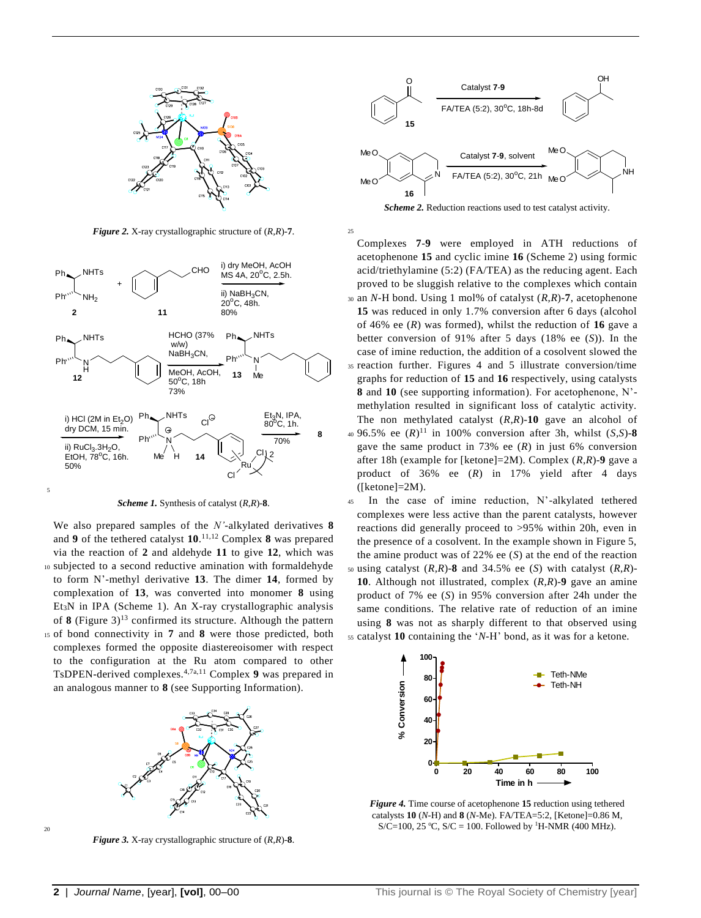

*Figure 2.* X-ray crystallographic structure of (*R,R*)-**7**.



*Scheme 1.* Synthesis of catalyst (*R,R*)-**8**.

We also prepared samples of the *N'*-alkylated derivatives **8** and **9** of the tethered catalyst **10**. 11,12 Complex **8** was prepared via the reaction of **2** and aldehyde **11** to give **12**, which was <sup>10</sup> subjected to a second reductive amination with formaldehyde to form N'-methyl derivative **13**. The dimer **14**, formed by complexation of **13**, was converted into monomer **8** using Et3N in IPA (Scheme 1). An X-ray crystallographic analysis of **8** (Figure 3)<sup>13</sup> confirmed its structure. Although the pattern <sup>15</sup> of bond connectivity in **7** and **8** were those predicted, both complexes formed the opposite diastereoisomer with respect to the configuration at the Ru atom compared to other TsDPEN-derived complexes.4,7a,11 Complex **9** was prepared in an analogous manner to **8** (see Supporting Information).



20

*Figure 3.* X-ray crystallographic structure of (*R,R*)-**8**.



*Scheme 2.* Reduction reactions used to test catalyst activity.

25

Complexes **7**-**9** were employed in ATH reductions of acetophenone **15** and cyclic imine **16** (Scheme 2) using formic acid/triethylamine (5:2) (FA/TEA) as the reducing agent. Each proved to be sluggish relative to the complexes which contain <sup>30</sup> an *N*-H bond. Using 1 mol% of catalyst (*R,R*)-**7**, acetophenone **15** was reduced in only 1.7% conversion after 6 days (alcohol of 46% ee (*R*) was formed), whilst the reduction of **16** gave a better conversion of 91% after 5 days (18% ee (*S*)). In the case of imine reduction, the addition of a cosolvent slowed the <sup>35</sup> reaction further. Figures 4 and 5 illustrate conversion/time graphs for reduction of **15** and **16** respectively, using catalysts **8** and **10** (see supporting information). For acetophenone, N' methylation resulted in significant loss of catalytic activity. The non methylated catalyst (*R,R*)-**10** gave an alcohol of  $(40.5\% \text{ ee } (R)^{11} \text{ in } 100\% \text{ conversion after } 3h, \text{ whilst } (S, S) - 8$ gave the same product in 73% ee (*R*) in just 6% conversion after 18h (example for [ketone]=2M). Complex (*R,R*)-**9** gave a product of 36% ee (*R*) in 17% yield after 4 days  $(Iketone]=2M$ ).

<sup>45</sup> In the case of imine reduction, N'-alkylated tethered complexes were less active than the parent catalysts, however reactions did generally proceed to >95% within 20h, even in the presence of a cosolvent. In the example shown in Figure 5, the amine product was of 22% ee (*S*) at the end of the reaction <sup>50</sup> using catalyst (*R,R*)-**8** and 34.5% ee (*S*) with catalyst (*R,R*)- **10**. Although not illustrated, complex (*R,R*)-**9** gave an amine product of 7% ee (*S*) in 95% conversion after 24h under the same conditions. The relative rate of reduction of an imine using **8** was not as sharply different to that observed using <sup>55</sup> catalyst **10** containing the '*N*-H' bond, as it was for a ketone.



*Figure 4.* Time course of acetophenone **15** reduction using tethered catalysts **10** (*N-*H) and **8** (*N-*Me). FA/TEA=5:2, [Ketone]=0.86 M, S/C=100, 25 °C, S/C = 100. Followed by <sup>1</sup>H-NMR (400 MHz).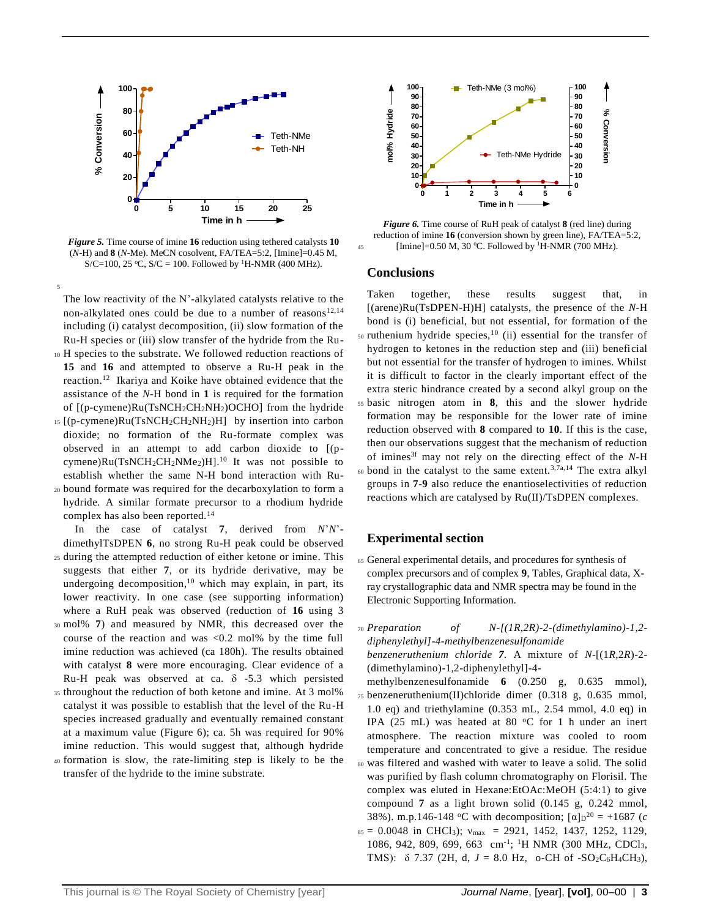

*Figure 5.* Time course of imine **16** reduction using tethered catalysts **10**  (*N*-H) and **8** (*N*-Me). MeCN cosolvent, FA/TEA=5:2, [Imine]=0.45 M, S/C=100, 25 °C, S/C = 100. Followed by <sup>1</sup>H-NMR (400 MHz).

5 The low reactivity of the N'-alkylated catalysts relative to the non-alkylated ones could be due to a number of reasons<sup>12,14</sup> including (i) catalyst decomposition, (ii) slow formation of the Ru-H species or (iii) slow transfer of the hydride from the Ru-

- <sup>10</sup> H species to the substrate. We followed reduction reactions of **15** and **16** and attempted to observe a Ru-H peak in the reaction. <sup>12</sup> Ikariya and Koike have obtained evidence that the assistance of the *N*-H bond in **1** is required for the formation of [(p-cymene)Ru(TsNCH2CH2NH2)OCHO] from the hydride
- <sup>15</sup> [(p-cymene)Ru(TsNCH2CH2NH2)H] by insertion into carbon dioxide; no formation of the Ru-formate complex was observed in an attempt to add carbon dioxide to [(pcymene) $Ru(TsNCH_2CH_2NMe_2)H$ .<sup>10</sup> It was not possible to establish whether the same N-H bond interaction with Ru-
- <sup>20</sup> bound formate was required for the decarboxylation to form a hydride. A similar formate precursor to a rhodium hydride complex has also been reported.<sup>14</sup>

In the case of catalyst **7**, derived from *N*'*N*' dimethylTsDPEN **6**, no strong Ru-H peak could be observed

- <sup>25</sup> during the attempted reduction of either ketone or imine. This suggests that either **7**, or its hydride derivative, may be undergoing decomposition, <sup>10</sup> which may explain, in part, its lower reactivity. In one case (see supporting information) where a RuH peak was observed (reduction of **16** using 3
- <sup>30</sup> mol% **7**) and measured by NMR, this decreased over the course of the reaction and was <0.2 mol% by the time full imine reduction was achieved (ca 180h). The results obtained with catalyst **8** were more encouraging. Clear evidence of a Ru-H peak was observed at ca.  $\delta$  -5.3 which persisted
- <sup>35</sup> throughout the reduction of both ketone and imine. At 3 mol% catalyst it was possible to establish that the level of the Ru-H species increased gradually and eventually remained constant at a maximum value (Figure 6); ca. 5h was required for 90% imine reduction. This would suggest that, although hydride
- <sup>40</sup> formation is slow, the rate-limiting step is likely to be the transfer of the hydride to the imine substrate.



*Figure 6.* Time course of RuH peak of catalyst **8** (red line) during reduction of imine **16** (conversion shown by green line), FA/TEA=5:2, 45 [Imine]= $0.50 \text{ M}$ , 30 °C. Followed by <sup>1</sup>H-NMR (700 MHz).

#### **Conclusions**

Taken together, these results suggest that, in [(arene)Ru(TsDPEN-H)H] catalysts, the presence of the *N*-H bond is (i) beneficial, but not essential, for formation of the  $50$  ruthenium hydride species,<sup>10</sup> (ii) essential for the transfer of hydrogen to ketones in the reduction step and (iii) beneficial but not essential for the transfer of hydrogen to imines. Whilst it is difficult to factor in the clearly important effect of the extra steric hindrance created by a second alkyl group on the <sup>55</sup> basic nitrogen atom in **8**, this and the slower hydride formation may be responsible for the lower rate of imine reduction observed with **8** compared to **10**. If this is the case, then our observations suggest that the mechanism of reduction of imines3f may not rely on the directing effect of the *N*-H  $\omega$  bond in the catalyst to the same extent.<sup>3,7a,14</sup> The extra alkyl groups in **7**-**9** also reduce the enantioselectivities of reduction reactions which are catalysed by Ru(II)/TsDPEN complexes.

## **Experimental section**

- <sup>65</sup> General experimental details, and procedures for synthesis of complex precursors and of complex **9**, Tables, Graphical data, Xray crystallographic data and NMR spectra may be found in the Electronic Supporting Information.
- <sup>70</sup> *Preparation of N-[(1R,2R)-2-(dimethylamino)-1,2 diphenylethyl]-4-methylbenzenesulfonamide*

*benzeneruthenium chloride 7.* A mixture of *N*-[(1*R*,2*R*)-2- (dimethylamino)-1,2-diphenylethyl]-4-

- methylbenzenesulfonamide **6** (0.250 g, 0.635 mmol), <sup>75</sup> benzeneruthenium(II)chloride dimer (0.318 g, 0.635 mmol, 1.0 eq) and triethylamine (0.353 mL, 2.54 mmol, 4.0 eq) in IPA (25 mL) was heated at 80  $^{\circ}$ C for 1 h under an inert atmosphere. The reaction mixture was cooled to room temperature and concentrated to give a residue. The residue
- <sup>80</sup> was filtered and washed with water to leave a solid. The solid was purified by flash column chromatography on Florisil. The complex was eluted in Hexane:EtOAc:MeOH (5:4:1) to give compound **7** as a light brown solid (0.145 g, 0.242 mmol, 38%). m.p.146-148 °C with decomposition;  $\lbrack \alpha \rbrack_{D}^{20} = +1687$  (*c*  $s_5 = 0.0048$  in CHCl<sub>3</sub>);  $v_{\text{max}} = 2921, 1452, 1437, 1252, 1129,$ 1086, 942, 809, 699, 663 cm-1 ; <sup>1</sup>H NMR (300 MHz, CDCl3, TMS):  $\delta$  7.37 (2H, d,  $J = 8.0$  Hz, o-CH of -SO<sub>2</sub>C<sub>6</sub>H<sub>4</sub>CH<sub>3</sub>),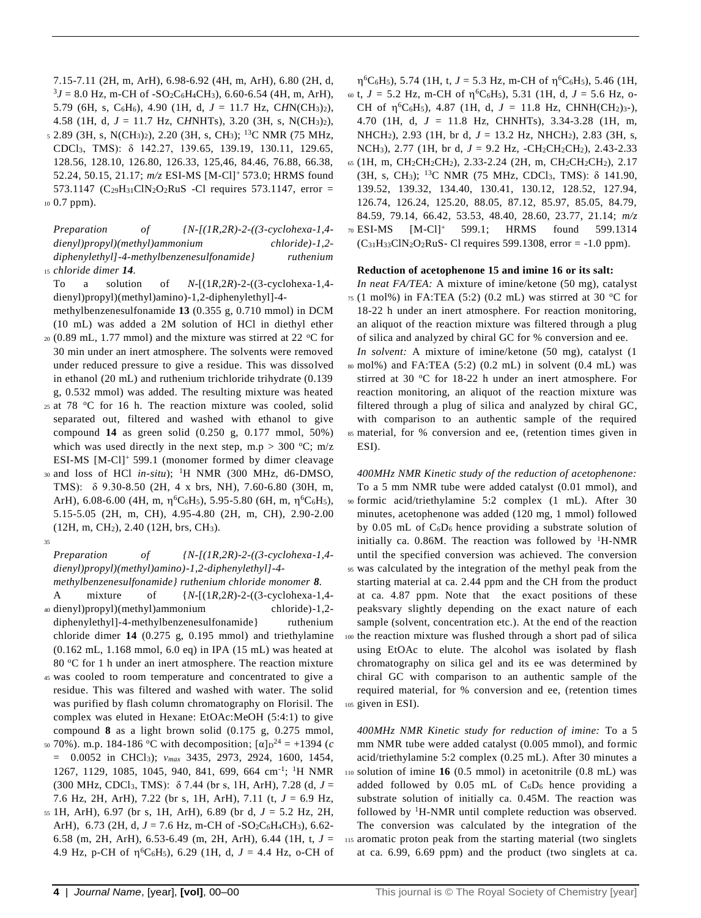7.15-7.11 (2H, m, ArH), 6.98-6.92 (4H, m, ArH), 6.80 (2H, d,  $3J = 8.0$  Hz, m-CH of  $-SO_2C_6H_4CH_3$ ), 6.60-6.54 (4H, m, ArH), 5.79 (6H, s, C6H6), 4.90 (1H, d, *J* = 11.7 Hz, C*H*N(CH3)2), 4.58 (1H, d, *J* = 11.7 Hz, C*H*NHTs), 3.20 (3H, s, N(CH3)2), s 2.89 (3H, s, N(CH<sub>3</sub>)<sub>2</sub>), 2.20 (3H, s, CH<sub>3</sub>); <sup>13</sup>C NMR (75 MHz, CDCl3, TMS): δ 142.27, 139.65, 139.19, 130.11, 129.65,

128.56, 128.10, 126.80, 126.33, 125,46, 84.46, 76.88, 66.38, 52.24, 50.15, 21.17; *m/z* ESI-MS [M-Cl]<sup>+</sup>573.0; HRMS found 573.1147 (C<sub>29</sub>H<sub>31</sub>ClN<sub>2</sub>O<sub>2</sub>RuS -Cl requires 573.1147, error = <sup>10</sup> 0.7 ppm).

*Preparation of {N-[(1R,2R)-2-((3-cyclohexa-1,4 dienyl)propyl)(methyl)ammonium chloride)-1,2 diphenylethyl]-4-methylbenzenesulfonamide} ruthenium*  <sup>15</sup> *chloride dimer 14.*

To a solution of *N*-[(1*R*,2*R*)-2-((3-cyclohexa-1,4 dienyl)propyl)(methyl)amino)-1,2-diphenylethyl]-4 methylbenzenesulfonamide **13** (0.355 g, 0.710 mmol) in DCM

- (10 mL) was added a 2M solution of HCl in diethyl ether  $_{20}$  (0.89 mL, 1.77 mmol) and the mixture was stirred at 22 °C for 30 min under an inert atmosphere. The solvents were removed under reduced pressure to give a residue. This was dissolved in ethanol (20 mL) and ruthenium trichloride trihydrate (0.139 g, 0.532 mmol) was added. The resulting mixture was heated
- 25 at 78  $°C$  for 16 h. The reaction mixture was cooled, solid separated out, filtered and washed with ethanol to give compound **14** as green solid (0.250 g, 0.177 mmol, 50%) which was used directly in the next step,  $m.p > 300 °C$ ;  $m/z$ ESI-MS [M-Cl]<sup>+</sup>599.1 (monomer formed by dimer cleavage
- $30$  and loss of HCl *in-situ*); <sup>1</sup>H NMR (300 MHz, d6-DMSO, TMS): δ 9.30-8.50 (2H, 4 x brs, NH), 7.60-6.80 (30H, m, ArH), 6.08-6.00 (4H, m,  $\eta$ <sup>6</sup>C<sub>6</sub>H<sub>5</sub>), 5.95-5.80 (6H, m,  $\eta$ <sup>6</sup>C<sub>6</sub>H<sub>5</sub>), 5.15-5.05 (2H, m, CH), 4.95-4.80 (2H, m, CH), 2.90-2.00 (12H, m, CH2), 2.40 (12H, brs, CH3).
- 35

*Preparation of {N-[(1R,2R)-2-((3-cyclohexa-1,4 dienyl)propyl)(methyl)amino)-1,2-diphenylethyl]-4 methylbenzenesulfonamide} ruthenium chloride monomer 8.*

- A mixture of {*N*-[(1*R*,2*R*)-2-((3-cyclohexa-1,4- <sup>40</sup> dienyl)propyl)(methyl)ammonium chloride)-1,2 diphenylethyl]-4-methylbenzenesulfonamide} ruthenium chloride dimer **14** (0.275 g, 0.195 mmol) and triethylamine (0.162 mL, 1.168 mmol, 6.0 eq) in IPA (15 mL) was heated at 80  $\degree$ C for 1 h under an inert atmosphere. The reaction mixture
- <sup>45</sup> was cooled to room temperature and concentrated to give a residue. This was filtered and washed with water. The solid was purified by flash column chromatography on Florisil. The complex was eluted in Hexane: EtOAc:MeOH (5:4:1) to give compound **8** as a light brown solid (0.175 g, 0.275 mmol,
- <sup>50</sup> 70%). m.p. 184-186 <sup>o</sup>C with decomposition;  $\lbrack \alpha \rbrack$  $p^{24} = +1394$  (*c* = 0.0052 in CHCl3); *νmax* 3435, 2973, 2924, 1600, 1454, 1267, 1129, 1085, 1045, 940, 841, 699, 664 cm<sup>-1</sup>; <sup>1</sup>H NMR (300 MHz, CDCl3, TMS): δ 7.44 (br s, 1H, ArH), 7.28 (d, *J* = 7.6 Hz, 2H, ArH), 7.22 (br s, 1H, ArH), 7.11 (t, *J* = 6.9 Hz,
- <sup>55</sup> 1H, ArH), 6.97 (br s, 1H, ArH), 6.89 (br d, *J* = 5.2 Hz, 2H, ArH), 6.73 (2H, d,  $J = 7.6$  Hz, m-CH of -SO<sub>2</sub>C<sub>6</sub>H<sub>4</sub>CH<sub>3</sub>), 6.62-6.58 (m, 2H, ArH), 6.53-6.49 (m, 2H, ArH), 6.44 (1H, t, *J* = 4.9 Hz, p-CH of  $\eta^6C_6H_5$ ), 6.29 (1H, d,  $J = 4.4$  Hz, o-CH of

 $\eta$ <sup>6</sup>C<sub>6</sub>H<sub>5</sub>), 5.74 (1H, t, *J* = 5.3 Hz, m-CH of  $\eta$ <sup>6</sup>C<sub>6</sub>H<sub>5</sub>), 5.46 (1H, 60 t,  $J = 5.2$  Hz, m-CH of  $\eta^6C_6H_5$ , 5.31 (1H, d,  $J = 5.6$  Hz, o-CH of  $\eta^6C_6H_5$ , 4.87 (1H, d,  $J = 11.8$  Hz, CHNH(CH<sub>2</sub>)<sub>3</sub>-), 4.70 (1H, d, *J* = 11.8 Hz, CHNHTs), 3.34-3.28 (1H, m, NHCH2), 2.93 (1H, br d, *J* = 13.2 Hz, NHCH2), 2.83 (3H, s, NCH<sub>3</sub>), 2.77 (1H, br d,  $J = 9.2$  Hz,  $-CH_2CH_2CH_2$ ), 2.43-2.33  $65$  (1H, m, CH<sub>2</sub>CH<sub>2</sub>CH<sub>2</sub>), 2.33-2.24 (2H, m, CH<sub>2</sub>CH<sub>2</sub>CH<sub>2</sub>), 2.17 (3H, s, CH3); <sup>13</sup>C NMR (75 MHz, CDCl3, TMS): δ 141.90, 139.52, 139.32, 134.40, 130.41, 130.12, 128.52, 127.94, 126.74, 126.24, 125.20, 88.05, 87.12, 85.97, 85.05, 84.79, 84.59, 79.14, 66.42, 53.53, 48.40, 28.60, 23.77, 21.14; *m/z* 70 ESI-MS [M-Cl]<sup>+</sup> 599.1; HRMS found 599.1314  $(C_{31}H_{33}CIN_2O_2RuS-C1$  requires 599.1308, error = -1.0 ppm).

#### **Reduction of acetophenone 15 and imine 16 or its salt:**

*In neat FA/TEA:* A mixture of imine/ketone (50 mg), catalyst  $75$  (1 mol%) in FA:TEA (5:2) (0.2 mL) was stirred at 30 °C for 18-22 h under an inert atmosphere. For reaction monitoring, an aliquot of the reaction mixture was filtered through a plug of silica and analyzed by chiral GC for % conversion and ee. *In solvent:* A mixture of imine/ketone (50 mg), catalyst (1 <sup>80</sup> mol%) and FA:TEA (5:2) (0.2 mL) in solvent (0.4 mL) was stirred at 30 °C for 18-22 h under an inert atmosphere. For reaction monitoring, an aliquot of the reaction mixture was filtered through a plug of silica and analyzed by chiral GC, with comparison to an authentic sample of the required <sup>85</sup> material, for % conversion and ee, (retention times given in ESI).

*400MHz NMR Kinetic study of the reduction of acetophenone:*  To a 5 mm NMR tube were added catalyst (0.01 mmol), and <sup>90</sup> formic acid/triethylamine 5:2 complex (1 mL). After 30 minutes, acetophenone was added (120 mg, 1 mmol) followed by 0.05 mL of  $C_6D_6$  hence providing a substrate solution of initially ca.  $0.86M$ . The reaction was followed by <sup>1</sup>H-NMR until the specified conversion was achieved. The conversion <sup>95</sup> was calculated by the integration of the methyl peak from the starting material at ca. 2.44 ppm and the CH from the product at ca. 4.87 ppm. Note that the exact positions of these peaksvary slightly depending on the exact nature of each sample (solvent, concentration etc.). At the end of the reaction <sup>100</sup> the reaction mixture was flushed through a short pad of silica using EtOAc to elute. The alcohol was isolated by flash chromatography on silica gel and its ee was determined by chiral GC with comparison to an authentic sample of the required material, for % conversion and ee, (retention times <sup>105</sup> given in ESI).

*400MHz NMR Kinetic study for reduction of imine:* To a 5 mm NMR tube were added catalyst (0.005 mmol), and formic acid/triethylamine 5:2 complex (0.25 mL). After 30 minutes a <sup>110</sup> solution of imine **16** (0.5 mmol) in acetonitrile (0.8 mL) was added followed by  $0.05$  mL of  $C_6D_6$  hence providing a substrate solution of initially ca. 0.45M. The reaction was followed by <sup>1</sup>H-NMR until complete reduction was observed. The conversion was calculated by the integration of the <sup>115</sup> aromatic proton peak from the starting material (two singlets at ca. 6.99, 6.69 ppm) and the product (two singlets at ca.